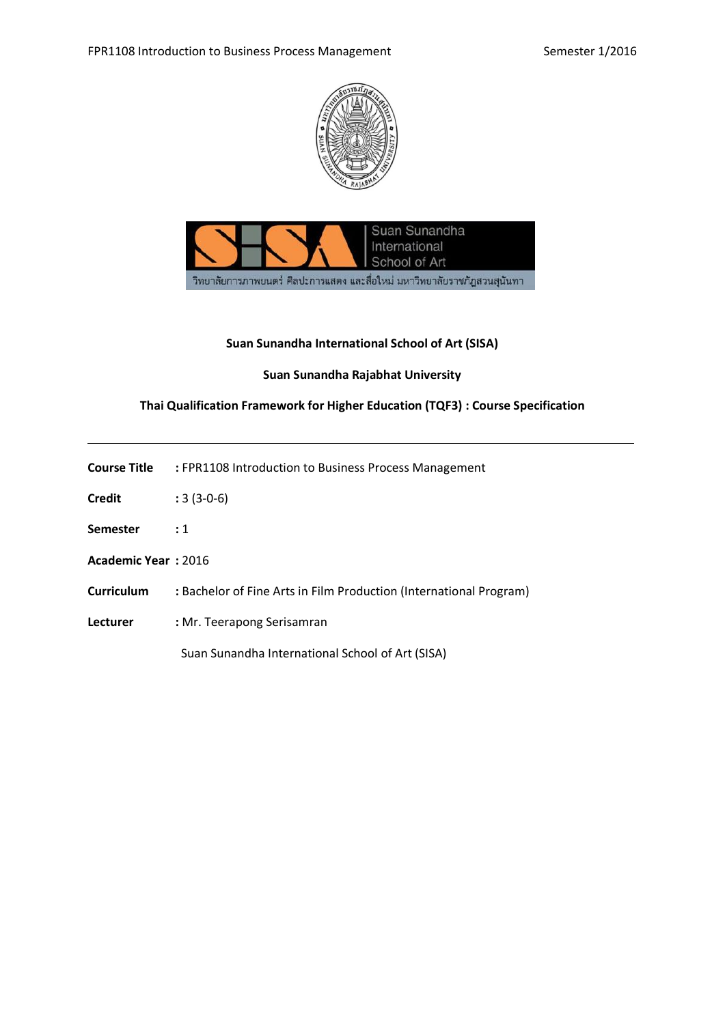



## **Suan Sunandha International School of Art (SISA)**

#### **Suan Sunandha Rajabhat University**

## **Thai Qualification Framework for Higher Education (TQF3) : Course Specification**

| Course Title | : FPR1108 Introduction to Business Process Management |
|--------------|-------------------------------------------------------|
| Credit       | $: 3(3-0-6)$                                          |

- **Semester :** 1
- **Academic Year :** 2016
- **Curriculum :** Bachelor of Fine Arts in Film Production (International Program)
- **Lecturer :** Mr. Teerapong Serisamran

Suan Sunandha International School of Art (SISA)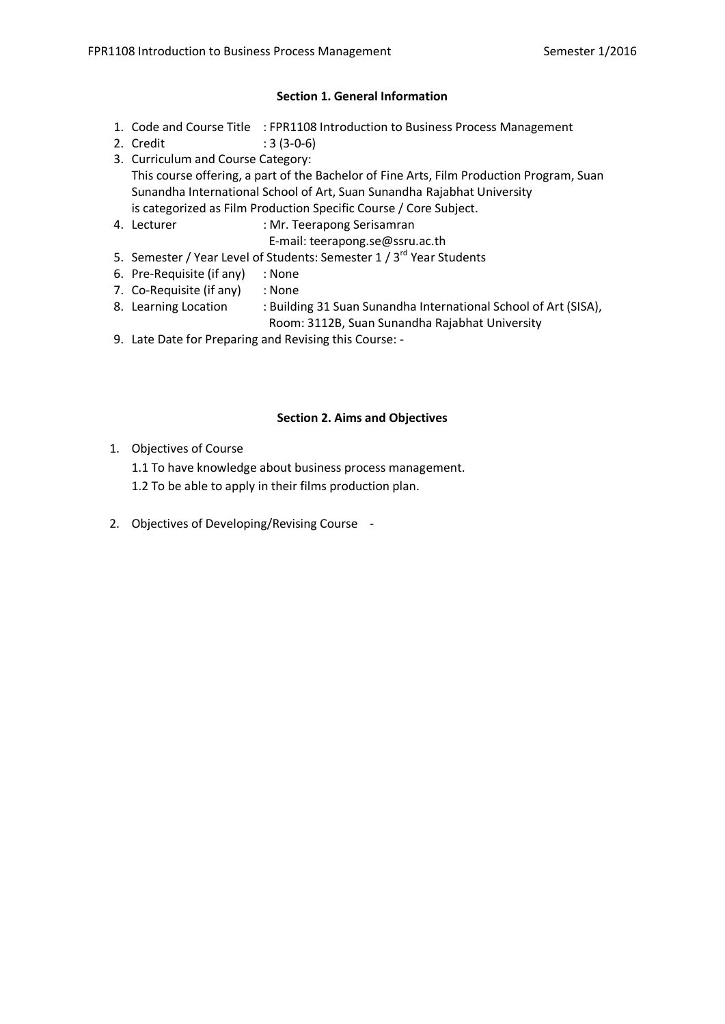## **Section 1. General Information**

- 1. Code and Course Title : FPR1108 Introduction to Business Process Management
- 2. Credit : 3 (3-0-6)
- 3. Curriculum and Course Category: This course offering, a part of the Bachelor of Fine Arts, Film Production Program, Suan Sunandha International School of Art, Suan Sunandha Rajabhat University is categorized as Film Production Specific Course / Core Subject.
- 4. Lecturer : Mr. Teerapong Serisamran
	- E-mail: teerapong.se@ssru.ac.th
- 5. Semester / Year Level of Students: Semester 1 / 3<sup>rd</sup> Year Students
- 6. Pre-Requisite (if any) : None
- 7. Co-Requisite (if any) : None
- 8. Learning Location : Building 31 Suan Sunandha International School of Art (SISA),
	- Room: 3112B, Suan Sunandha Rajabhat University
- 9. Late Date for Preparing and Revising this Course: -

## **Section 2. Aims and Objectives**

- 1. Objectives of Course
	- 1.1 To have knowledge about business process management.
	- 1.2 To be able to apply in their films production plan.
- 2. Objectives of Developing/Revising Course -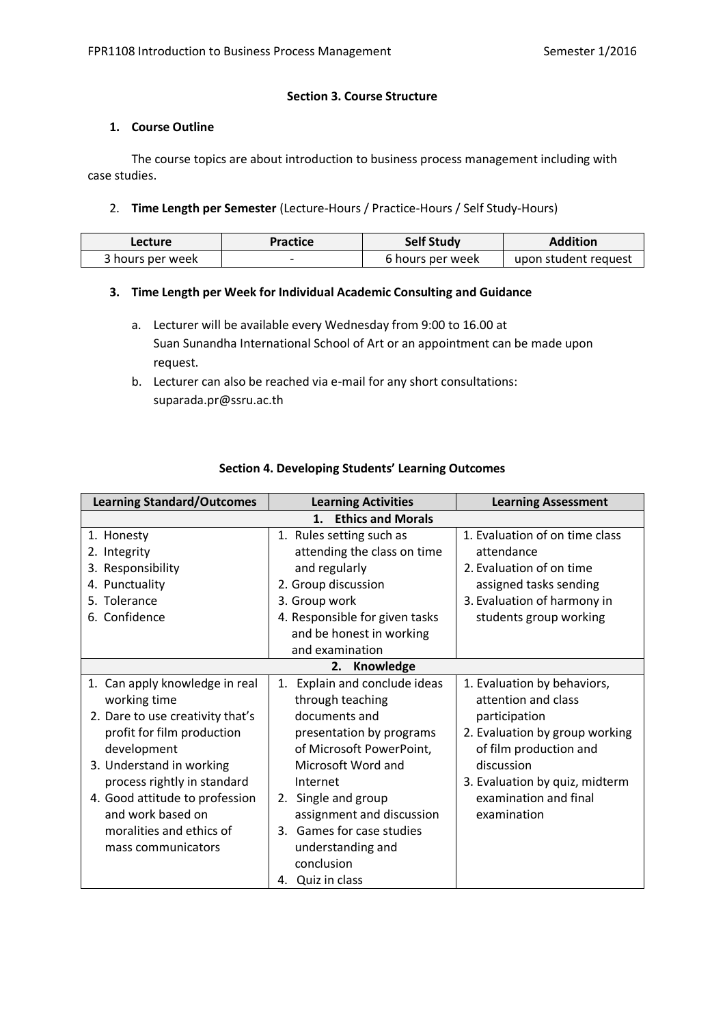### **Section 3. Course Structure**

## **1. Course Outline**

The course topics are about introduction to business process management including with case studies.

## 2. **Time Length per Semester** (Lecture-Hours / Practice-Hours / Self Study-Hours)

| Lecture          | Practice | <b>Self Study</b> | Addition             |
|------------------|----------|-------------------|----------------------|
| 3 hours per week |          | 6 hours per week  | upon student request |

## **3. Time Length per Week for Individual Academic Consulting and Guidance**

- a. Lecturer will be available every Wednesday from 9:00 to 16.00 at Suan Sunandha International School of Art or an appointment can be made upon request.
- b. Lecturer can also be reached via e-mail for any short consultations: suparada.pr@ssru.ac.th

| <b>Learning Standard/Outcomes</b>                                                                                                                                                                                                                                                                   | <b>Learning Activities</b>                                                                                                                                                                                                                                                                                 | <b>Learning Assessment</b>                                                                                                                                                                                              |
|-----------------------------------------------------------------------------------------------------------------------------------------------------------------------------------------------------------------------------------------------------------------------------------------------------|------------------------------------------------------------------------------------------------------------------------------------------------------------------------------------------------------------------------------------------------------------------------------------------------------------|-------------------------------------------------------------------------------------------------------------------------------------------------------------------------------------------------------------------------|
|                                                                                                                                                                                                                                                                                                     | <b>Ethics and Morals</b><br>1.                                                                                                                                                                                                                                                                             |                                                                                                                                                                                                                         |
| 1. Honesty<br>2. Integrity<br>3. Responsibility<br>4. Punctuality<br>5. Tolerance<br>6. Confidence                                                                                                                                                                                                  | 1. Rules setting such as<br>attending the class on time<br>and regularly<br>2. Group discussion<br>3. Group work<br>4. Responsible for given tasks<br>and be honest in working<br>and examination                                                                                                          | 1. Evaluation of on time class<br>attendance<br>2. Evaluation of on time<br>assigned tasks sending<br>3. Evaluation of harmony in<br>students group working                                                             |
|                                                                                                                                                                                                                                                                                                     | 2.<br>Knowledge                                                                                                                                                                                                                                                                                            |                                                                                                                                                                                                                         |
| 1. Can apply knowledge in real<br>working time<br>2. Dare to use creativity that's<br>profit for film production<br>development<br>3. Understand in working<br>process rightly in standard<br>4. Good attitude to profession<br>and work based on<br>moralities and ethics of<br>mass communicators | Explain and conclude ideas<br>1.<br>through teaching<br>documents and<br>presentation by programs<br>of Microsoft PowerPoint,<br>Microsoft Word and<br>Internet<br>Single and group<br>2.<br>assignment and discussion<br>3. Games for case studies<br>understanding and<br>conclusion<br>4. Quiz in class | 1. Evaluation by behaviors,<br>attention and class<br>participation<br>2. Evaluation by group working<br>of film production and<br>discussion<br>3. Evaluation by quiz, midterm<br>examination and final<br>examination |

## **Section 4. Developing Students' Learning Outcomes**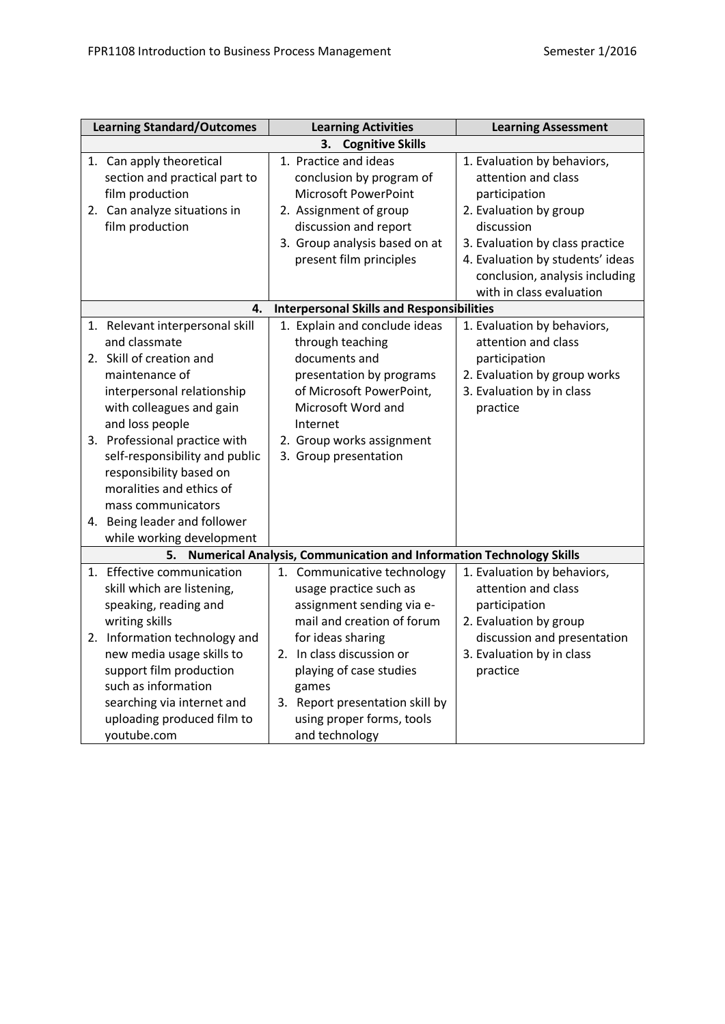| <b>Learning Standard/Outcomes</b>                                                                                                                                                                                                                                                                                                                                                        | <b>Learning Activities</b>                                                                                                                                                                                                                                                               | <b>Learning Assessment</b>                                                                                                                                                                                                                       |  |  |  |  |
|------------------------------------------------------------------------------------------------------------------------------------------------------------------------------------------------------------------------------------------------------------------------------------------------------------------------------------------------------------------------------------------|------------------------------------------------------------------------------------------------------------------------------------------------------------------------------------------------------------------------------------------------------------------------------------------|--------------------------------------------------------------------------------------------------------------------------------------------------------------------------------------------------------------------------------------------------|--|--|--|--|
| <b>Cognitive Skills</b><br>3.                                                                                                                                                                                                                                                                                                                                                            |                                                                                                                                                                                                                                                                                          |                                                                                                                                                                                                                                                  |  |  |  |  |
| 1. Can apply theoretical<br>section and practical part to<br>film production<br>2. Can analyze situations in<br>film production                                                                                                                                                                                                                                                          | 1. Practice and ideas<br>conclusion by program of<br><b>Microsoft PowerPoint</b><br>2. Assignment of group<br>discussion and report<br>3. Group analysis based on at<br>present film principles                                                                                          | 1. Evaluation by behaviors,<br>attention and class<br>participation<br>2. Evaluation by group<br>discussion<br>3. Evaluation by class practice<br>4. Evaluation by students' ideas<br>conclusion, analysis including<br>with in class evaluation |  |  |  |  |
| 4.                                                                                                                                                                                                                                                                                                                                                                                       | <b>Interpersonal Skills and Responsibilities</b>                                                                                                                                                                                                                                         |                                                                                                                                                                                                                                                  |  |  |  |  |
| 1. Relevant interpersonal skill<br>and classmate<br>2. Skill of creation and<br>maintenance of<br>interpersonal relationship<br>with colleagues and gain<br>and loss people<br>3. Professional practice with<br>self-responsibility and public<br>responsibility based on<br>moralities and ethics of<br>mass communicators<br>4. Being leader and follower<br>while working development | 1. Explain and conclude ideas<br>through teaching<br>documents and<br>presentation by programs<br>of Microsoft PowerPoint,<br>Microsoft Word and<br>Internet<br>2. Group works assignment<br>3. Group presentation                                                                       | 1. Evaluation by behaviors,<br>attention and class<br>participation<br>2. Evaluation by group works<br>3. Evaluation by in class<br>practice                                                                                                     |  |  |  |  |
| 5.                                                                                                                                                                                                                                                                                                                                                                                       | <b>Numerical Analysis, Communication and Information Technology Skills</b>                                                                                                                                                                                                               |                                                                                                                                                                                                                                                  |  |  |  |  |
| 1. Effective communication<br>skill which are listening,<br>speaking, reading and<br>writing skills<br>2. Information technology and<br>new media usage skills to<br>support film production<br>such as information<br>searching via internet and<br>uploading produced film to<br>youtube.com                                                                                           | 1. Communicative technology<br>usage practice such as<br>assignment sending via e-<br>mail and creation of forum<br>for ideas sharing<br>2. In class discussion or<br>playing of case studies<br>games<br>3. Report presentation skill by<br>using proper forms, tools<br>and technology | 1. Evaluation by behaviors,<br>attention and class<br>participation<br>2. Evaluation by group<br>discussion and presentation<br>3. Evaluation by in class<br>practice                                                                            |  |  |  |  |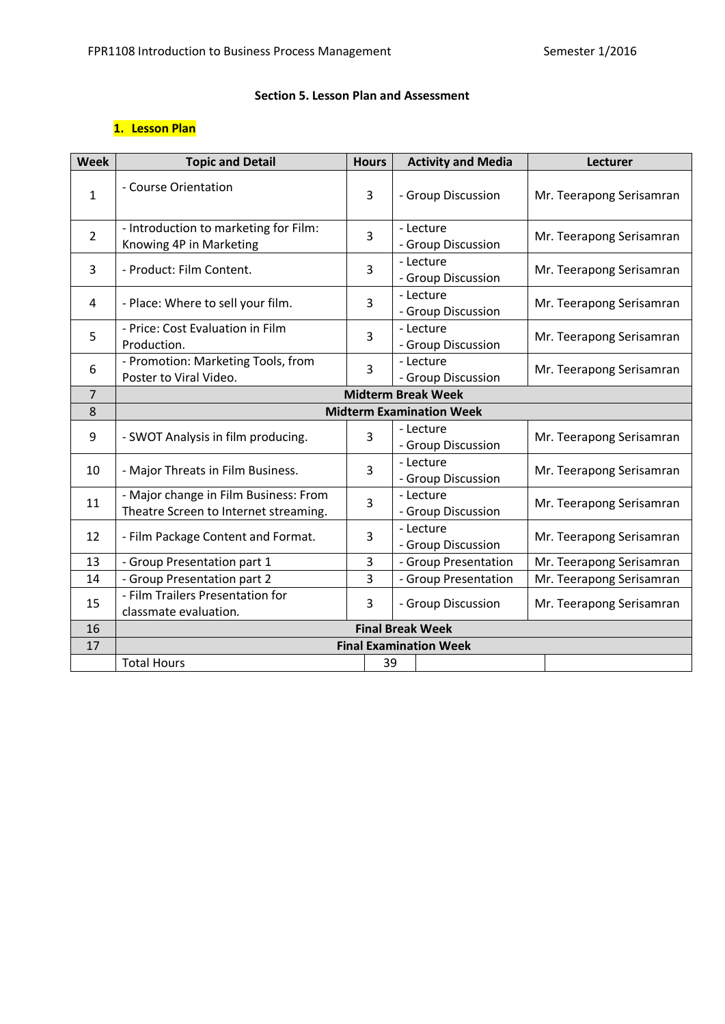## **Section 5. Lesson Plan and Assessment**

# **1. Lesson Plan**

| <b>Week</b>     | <b>Topic and Detail</b>                                                        | <b>Hours</b>            |    | <b>Activity and Media</b>       |  | Lecturer                 |
|-----------------|--------------------------------------------------------------------------------|-------------------------|----|---------------------------------|--|--------------------------|
| $\mathbf{1}$    | - Course Orientation                                                           | 3                       |    | - Group Discussion              |  | Mr. Teerapong Serisamran |
| $\overline{2}$  | - Introduction to marketing for Film:<br>Knowing 4P in Marketing               | 3                       |    | - Lecture<br>- Group Discussion |  | Mr. Teerapong Serisamran |
| 3               | - Product: Film Content.                                                       | 3                       |    | - Lecture<br>- Group Discussion |  | Mr. Teerapong Serisamran |
| 4               | - Place: Where to sell your film.                                              | 3                       |    | - Lecture<br>- Group Discussion |  | Mr. Teerapong Serisamran |
| 5               | - Price: Cost Evaluation in Film<br>Production.                                | 3                       |    | - Lecture<br>- Group Discussion |  | Mr. Teerapong Serisamran |
| 6               | - Promotion: Marketing Tools, from<br>Poster to Viral Video.                   | 3                       |    | - Lecture<br>- Group Discussion |  | Mr. Teerapong Serisamran |
| $\overline{7}$  | <b>Midterm Break Week</b>                                                      |                         |    |                                 |  |                          |
| 8               |                                                                                |                         |    | <b>Midterm Examination Week</b> |  |                          |
| 9               | - SWOT Analysis in film producing.                                             | 3                       |    | - Lecture<br>- Group Discussion |  | Mr. Teerapong Serisamran |
| 10 <sup>1</sup> | - Major Threats in Film Business.                                              | 3                       |    | - Lecture<br>- Group Discussion |  | Mr. Teerapong Serisamran |
| 11              | - Major change in Film Business: From<br>Theatre Screen to Internet streaming. | 3                       |    | - Lecture<br>- Group Discussion |  | Mr. Teerapong Serisamran |
| 12              | - Film Package Content and Format.                                             | 3                       |    | - Lecture<br>- Group Discussion |  | Mr. Teerapong Serisamran |
| 13              | - Group Presentation part 1                                                    | 3                       |    | - Group Presentation            |  | Mr. Teerapong Serisamran |
| 14              | - Group Presentation part 2                                                    | 3                       |    | - Group Presentation            |  | Mr. Teerapong Serisamran |
| 15              | - Film Trailers Presentation for<br>classmate evaluation.                      | 3                       |    | - Group Discussion              |  | Mr. Teerapong Serisamran |
| 16              |                                                                                | <b>Final Break Week</b> |    |                                 |  |                          |
| 17              | <b>Final Examination Week</b>                                                  |                         |    |                                 |  |                          |
|                 | <b>Total Hours</b>                                                             |                         | 39 |                                 |  |                          |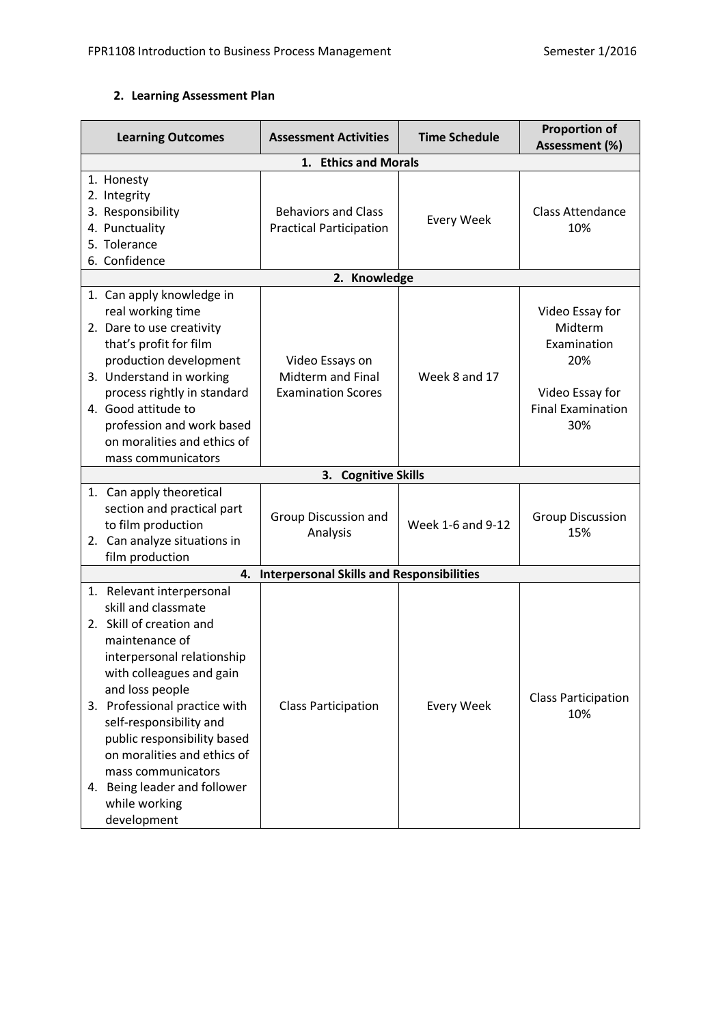# **2. Learning Assessment Plan**

| <b>Learning Outcomes</b>                                                                                                                                                                                                                                                                                                                                                                    | <b>Assessment Activities</b>                                      | <b>Time Schedule</b> | <b>Proportion of</b><br>Assessment (%)                                                                 |
|---------------------------------------------------------------------------------------------------------------------------------------------------------------------------------------------------------------------------------------------------------------------------------------------------------------------------------------------------------------------------------------------|-------------------------------------------------------------------|----------------------|--------------------------------------------------------------------------------------------------------|
|                                                                                                                                                                                                                                                                                                                                                                                             |                                                                   |                      |                                                                                                        |
| 1. Honesty<br>2. Integrity<br>3. Responsibility<br>4. Punctuality<br>5. Tolerance<br>6. Confidence                                                                                                                                                                                                                                                                                          | <b>Behaviors and Class</b><br><b>Practical Participation</b>      | <b>Every Week</b>    | <b>Class Attendance</b><br>10%                                                                         |
|                                                                                                                                                                                                                                                                                                                                                                                             | 2. Knowledge                                                      |                      |                                                                                                        |
| 1. Can apply knowledge in<br>real working time<br>2. Dare to use creativity<br>that's profit for film<br>production development<br>3. Understand in working<br>process rightly in standard<br>4. Good attitude to<br>profession and work based<br>on moralities and ethics of<br>mass communicators                                                                                         | Video Essays on<br>Midterm and Final<br><b>Examination Scores</b> | Week 8 and 17        | Video Essay for<br>Midterm<br>Examination<br>20%<br>Video Essay for<br><b>Final Examination</b><br>30% |
|                                                                                                                                                                                                                                                                                                                                                                                             | 3. Cognitive Skills                                               |                      |                                                                                                        |
| 1. Can apply theoretical<br>section and practical part<br>to film production<br>2. Can analyze situations in<br>film production                                                                                                                                                                                                                                                             | Group Discussion and<br>Analysis                                  | Week 1-6 and 9-12    | <b>Group Discussion</b><br>15%                                                                         |
| 4.                                                                                                                                                                                                                                                                                                                                                                                          | <b>Interpersonal Skills and Responsibilities</b>                  |                      |                                                                                                        |
| 1. Relevant interpersonal<br>skill and classmate<br>2. Skill of creation and<br>maintenance of<br>interpersonal relationship<br>with colleagues and gain<br>and loss people<br>3. Professional practice with<br>self-responsibility and<br>public responsibility based<br>on moralities and ethics of<br>mass communicators<br>4. Being leader and follower<br>while working<br>development | <b>Class Participation</b>                                        | <b>Every Week</b>    | <b>Class Participation</b><br>10%                                                                      |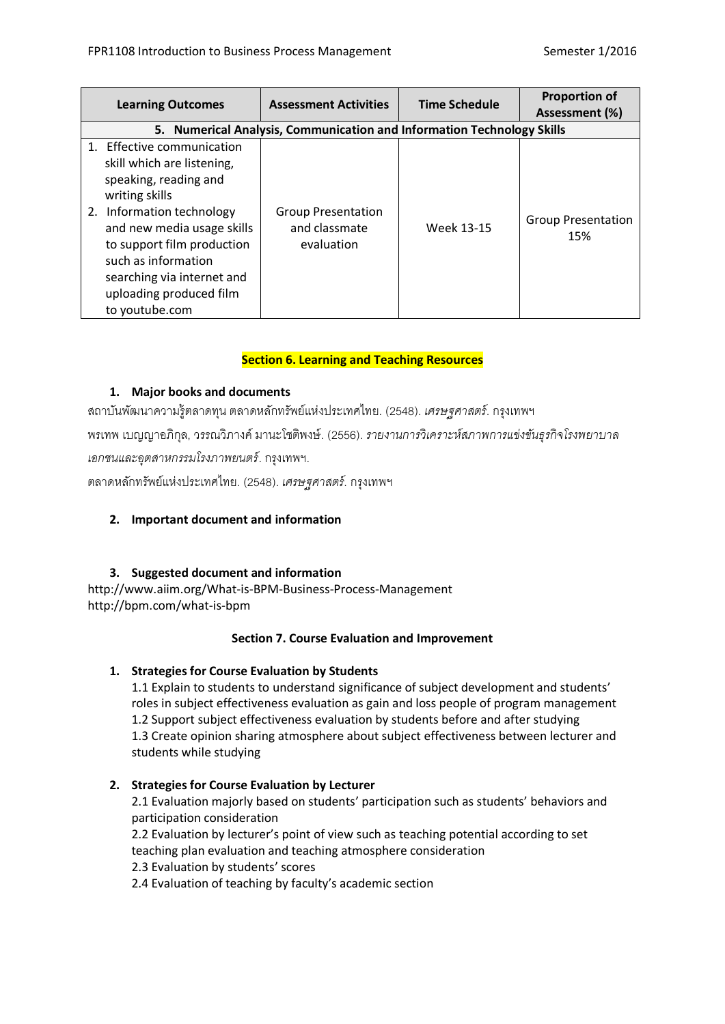| <b>Learning Outcomes</b>                                                                                                                                                                                                                                                                          | <b>Assessment Activities</b>                                           | <b>Time Schedule</b> | <b>Proportion of</b><br>Assessment (%) |  |  |
|---------------------------------------------------------------------------------------------------------------------------------------------------------------------------------------------------------------------------------------------------------------------------------------------------|------------------------------------------------------------------------|----------------------|----------------------------------------|--|--|
|                                                                                                                                                                                                                                                                                                   | 5. Numerical Analysis, Communication and Information Technology Skills |                      |                                        |  |  |
| 1. Effective communication<br>skill which are listening,<br>speaking, reading and<br>writing skills<br>Information technology<br>2.<br>and new media usage skills<br>to support film production<br>such as information<br>searching via internet and<br>uploading produced film<br>to youtube.com | <b>Group Presentation</b><br>and classmate<br>evaluation               | Week 13-15           | <b>Group Presentation</b><br>15%       |  |  |

## **Section 6. Learning and Teaching Resources**

## **1. Major books and documents**

สถาบันพัฒนาความรู้ตลาดทุน ตลาดหลักทรัพย์แห่งประเทศไทย. (2548). *เศรษฐศาสตร์*. กรุงเทพฯ

พรเทพ เบญญาอภิกุล, วรรณวิภางค์ มานะโชติพงษ์. (2556). *รายงานการวิเคราะห์สภาพการแข่งขันธุรกิจโรงพยาบาล เอกชนและอุตสาหกรรมโรงภาพยนตร์*. กรุงเทพฯ.

ตลาดหลักทรัพย์แห่งประเทศไทย. (2548). *เศรษฐศาสตร์*. กรุงเทพฯ

## **2. Important document and information**

## **3. Suggested document and information**

http://www.aiim.org/What-is-BPM-Business-Process-Management http://bpm.com/what-is-bpm

## **Section 7. Course Evaluation and Improvement**

## **1. Strategies for Course Evaluation by Students**

1.1 Explain to students to understand significance of subject development and students' roles in subject effectiveness evaluation as gain and loss people of program management 1.2 Support subject effectiveness evaluation by students before and after studying 1.3 Create opinion sharing atmosphere about subject effectiveness between lecturer and students while studying

# **2. Strategies for Course Evaluation by Lecturer**

2.1 Evaluation majorly based on students' participation such as students' behaviors and participation consideration

2.2 Evaluation by lecturer's point of view such as teaching potential according to set teaching plan evaluation and teaching atmosphere consideration 2.3 Evaluation by students' scores

2.4 Evaluation of teaching by faculty's academic section